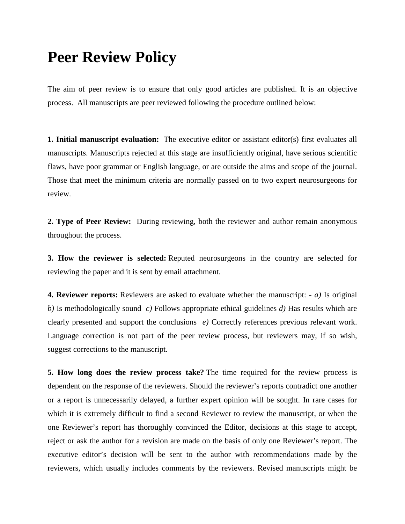## **Peer Review Policy**

The aim of peer review is to ensure that only good articles are published. It is an objective process. All manuscripts are peer reviewed following the procedure outlined below:

**1. Initial manuscript evaluation:** The executive editor or assistant editor(s) first evaluates all manuscripts. Manuscripts rejected at this stage are insufficiently original, have serious scientific flaws, have poor grammar or English language, or are outside the aims and scope of the journal. Those that meet the minimum criteria are normally passed on to two expert neurosurgeons for review.

**2. Type of Peer Review:** During reviewing, both the reviewer and author remain anonymous throughout the process.

**3. How the reviewer is selected:** Reputed neurosurgeons in the country are selected for reviewing the paper and it is sent by email attachment.

**4. Reviewer reports:** Reviewers are asked to evaluate whether the manuscript: - *a)* Is original *b)* Is methodologically sound *c)* Follows appropriate ethical guidelines *d)* Has results which are clearly presented and support the conclusions *e)* Correctly references previous relevant work. Language correction is not part of the peer review process, but reviewers may, if so wish, suggest corrections to the manuscript.

**5. How long does the review process take?** The time required for the review process is dependent on the response of the reviewers. Should the reviewer's reports contradict one another or a report is unnecessarily delayed, a further expert opinion will be sought. In rare cases for which it is extremely difficult to find a second Reviewer to review the manuscript, or when the one Reviewer's report has thoroughly convinced the Editor, decisions at this stage to accept, reject or ask the author for a revision are made on the basis of only one Reviewer's report. The executive editor's decision will be sent to the author with recommendations made by the reviewers, which usually includes comments by the reviewers. Revised manuscripts might be